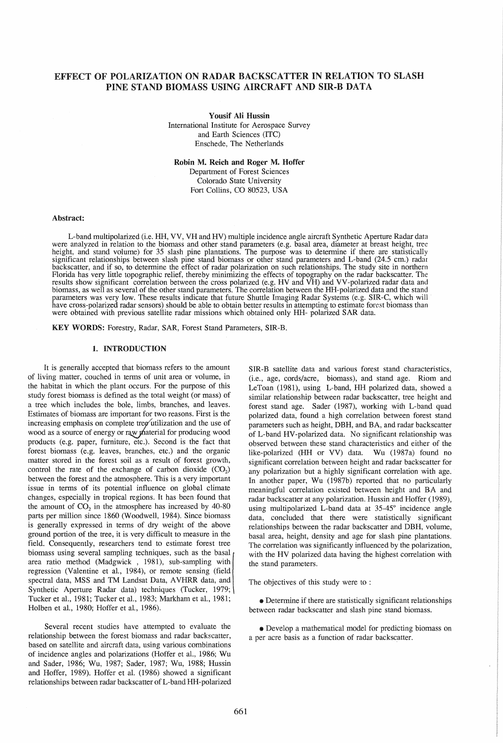# EFFECT OF POLARIZATION ON RADAR BACKSCATTER IN RELATION TO SLASH PINE STAND BIOMASS USING AIRCRAFT AND SIR-B DATA

Yousif Ali Hussin International Institute for Aerospace Survey and Earth Sciences (ITC) Enschede, The Netherlands

Robin M. Reich and Roger M. Hoffer

Department of Forest Sciences Colorado State University Fort Collins, CO 80523, USA

#### Abstract:

L-band multipolarized (i.e. HH, VV, VH and HV) multiple incidence angle aircraft Synthetic Aperture Radar data<br>were analyzed in relation to the biomass and other stand parameters (e.g. basal area, diameter at breast height height, and stand volume) for 35 slash pine plantations. The purpose was to determine if there are statistically significant relationships between slash pine stand biomass or other stand parameters and L-band (24.5 cm.) radar backscatter, and if so, to determine the effect of radar polarization on such relationships. The study site in northern Florida has very little topographic relief, thereby minimizing the effects of topography on the radar backscatter. The results show significant correlation between the cross polarized (e.g. HV and VH) and VV-polanzed radar data and biomass, as well as several of the other stand parameters. The correlation between the HH-polarized data and the stand parameters was very low. These results indicate that future Shuttle Imaging Radar Systems (e.g. SIR-C, which will<br>have cross-polarized radar sensors) should be able to obtain better results in attempting to estimate forest were obtained with previous satellite radar missions which obtained only HH- polarized SAR data.

KEY WORDS: Forestry, Radar, SAR, Forest Stand Parameters, SIR-B.

## 1. INTRODUCTION

It is generally accepted that biomass refers to the amount of living matter, couched in tenns of unit area or volume, in the habitat in which the plant occurs. For the purpose of this study forest biomass is defined as the total weight (or mass) of a tree which includes the bole, limbs, branches, and leaves. Estimates of biomass are important for two reasons. First is the increasing emphasis on complete tree utilization and the use of wood as a source of energy or raw material for producing wood products (e.g. paper, furniture, etc.). Second is the fact that forest biomass (e.g. leaves, branches, etc.) and the organic matter stored in the forest soil as a result of forest growth, control the rate of the exchange of carbon dioxide  $(CO_2)$ between the forest and the atmosphere. This is a very important issue in terms of its potential influence on global climate changes, especially in tropical regions. It has been found that the amount of  $CO<sub>2</sub>$  in the atmosphere has increased by 40-80 parts per million since 1860 (Woodwell, 1984). Since biomass is generally expressed in tenns of dry weight of the above ground portion of the tree, it is very difficult to measure in the field. Consequently, researchers tend to estimate forest tree biomass using several sampling techniques, such as the basal area ratio method (Madgwick , 1981), sub-sampling with regression (Valentine et aI., 1984), or remote sensing (field spectral data, MSS and TM Landsat Data, AVHRR data, and Synthetic Aperture Radar data) techniques (Tucker, 1979; Tucker et aI., 1981; Tucker et aI., 1983; Markham et aI., 1981; Holben et aI., 1980; Hoffer et aI., 1986).

Several recent studies have attempted to evaluate the relationship between the forest biomass and radar backscatter, based on satellite and aircraft data, using various combinations of incidence angles and polarizations (Hoffer et aI., 1986; Wu and Sader, 1986; Wu, 1987; Sader, 1987; Wu, 1988; Hussin and Hoffer, 1989). Hoffer et ai. (1986) showed a significant relationships between radar backscatter of L-band HH-polarized SIR-B satellite data and various forest stand characteristics, (i.e., age, cords/acre, biomass), and stand age. Riom and LeToan (1981), using L-band, HH polarized data, showed a similar relationship between radar backscatter, tree height and forest stand age. Sader (1987), working with L-band quad polarized data, found a high correlation between forest stand parameters such as height, DBH, and BA, and radar backscatter of L-band HV-polarized data. No significant relationship was observed between these stand characteristics and either of the like-polarized (HH or VV) data. Wu (1987a) found no significant correlation between height and radar backscatter for any polarization but a highly significant correlation with age. In another paper, Wu (1987b) reported that no particularly meaningful correlation existed between height and BA and radar backscatter at any polarization. Hussin and Hoffer (1989), using multipolarized L-band data at 35-45° incidence angle data, concluded that there were statistically significant relationships between the radar backscatter and DBH, volume, basal area, height, density and age for slash pine plantations. The correlation was significantly influenced by the polarization, with the HV polarized data having the highest correlation with the stand parameters.

The objectives of this study were to :

.. Determine if there are statistically significant relationships between radar backscatter and slash pine stand biomass.

.. Develop a mathematical model for predicting biomass on a per acre basis as a function of radar backscatter.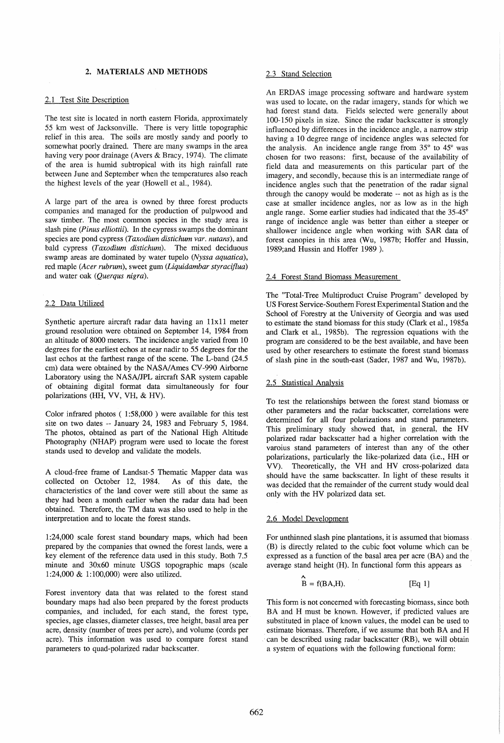## 2. MATERIALS AND METHODS

#### 2.1 Test Site Description

The test site is located in north eastern Florida, approximately 55 km west of Jacksonville. There is very little topographic relief in this area. The soils are mostly sandy and poorly to somewhat poorly drained. There are many swamps in the area having very poor drainage (Avers & Bracy, 1974). The climate of the area is humid subtropical with its high rainfall rate between June and September when the temperatures also reach the highest levels of the year (Howell et aI., 1984).

A large part of the area is owned by three forest products companies and managed for the production of pulpwood and saw timber. The most common species in the study area is slash pine *(Pinus elliottii).* In the cypress swamps the dominant species are pond cypress *(Taxodium distichum var. nutans),* and bald cypress *(Taxodium distichum).* The mixed deciduous swamp areas are dominated by water tupelo *(Nyssa aquatica),*  red maple *(Acer rubrum),* sweet gum *(Liquidambar styracijlua)*  and water oak *(Querqus nigra).* 

## 2.2 Data Utilized

Synthetic aperture aircraft radar data having an 11x11 meter ground resolution were obtained on September 14, 1984 from an altitude of 8000 meters. The incidence angle varied from 10 degrees for the earliest echos at near nadir to 55 degrees for the last echos at the farthest range of the scene. The L-band (24.5 cm) data were obtained by the NASA/Ames CV-990 Airborne Laboratory using the NASA/JPL aircraft SAR system capable of obtaining digital format data simultaneously for four polarizations (HH, VV, VH, & HV).

Color infrared photos (1:58,000) were available for this test site on two dates -- January 24, 1983 and February 5, 1984. The photos, obtained as part of the National High Altitude Photography (NHAP) program were used to locate the forest stands used to develop and validate the models.

A cloud-free frame of Landsat-5 Thematic Mapper data was collected on October 12, 1984. As of this date, the characteristics of the land cover were still about the same as they had been a month earlier when the radar data had been obtained. Therefore, the TM data was also used to help in the interpretation and to locate the forest stands.

1 :24,000 scale forest stand boundary maps, which had been prepared by the companies that owned the forest lands, were a key element of the reference data used in this study. Both 7.5 minute and 30x60 minute USGS topographic maps (scale 1 :24,000 & 1: 100,000) were also utilized.

Forest inventory data that was related to the forest stand boundary maps had also been prepared by the forest products companies, and included, for each stand, the forest type, species, age classes, diameter classes, tree height, basal area per acre, density (number of trees per acre), and volume (cords per acre). This information was used to compare forest stand parameters to quad-polarized radar backscatter.

## 2.3 Stand Selection

An ERDAS image processing software and hardware system was used to locate, on the radar imagery, stands for which we had forest stand data. Fields selected were generally about 100-150 pixels in size. Since the radar backscatter is strongly influenced by differences in the incidence angle, a narrow strip having a 10 degree range of incidence angles was selected for the analysis. An incidence angle range from 35° to 45° was chosen for two reasons: first, because of the availability of field data and measurements on this particular part of the imagery, and secondly, because this is an intermediate range of incidence angles such that the penetration of the radar signal through the canopy would be moderate -- not as high as is the case at smaller incidence angles, nor as low as in the high angle range. Some earlier studies had indicated that the 35-45° range of incidence angle was better than either a steeper or shallower incidence angle when working with SAR data of forest canopies in this area (Wu, 1987b; Hoffer and Hussin, 1989;and Hussin and Hoffer 1989 ).

### 2.4 Forest Stand Biomass Measurement

The "Total-Tree Multiproduct Cruise Program" developed by US Forest Service-Southern Forest Experimental Station and the School of Forestry at the University of Georgia and was used to estimate the stand biomass for this study (Clark et al., 1985a and Clark et al., 1985b). The regression equations with the program are considered to be the best available, and have been used by other researchers to estimate the forest stand biomass of slash pine in the south-east (Sader, 1987 and Wu, 1987b).

## 2.5 Statistical Analysis

To test the relationships between the forest stand biomass or other parameters and the radar backscatter, correlations were determined for all four polarizations and stand parameters. This preliminary study showed that, in general, the HV polarized radar backscatter had a higher correlation with the varoius stand parameters of interest than any of the other polarizations, particularly the like-polarized data (i.e., HR or VV). Theoretically, the VH and HV cross-polarized data should have the same backscatter. In light of these results it was decided that the remainder of the current study would deal only with the HV polarized data set.

#### 2.6 Model Development

For unthinned slash pine plantations, it is assumed that biomass (B) is directly related to the cubic foot volume which can be expressed as a function of the basal area per acre (BA) and the average stand height (H). In functional form this appears as '

$$
\mathbf{B} = \mathbf{f}(\mathbf{BA}, \mathbf{H}). \tag{Eq 1}
$$

This form is not concerned with forecasting biomass, since both BA and H must be known. However, if predicted values are substituted in place of known values, the model can be used to estimate biomass. Therefore, if we assume that both BA and H . can be described using radar backscatter (RB), we will obtain a system of equations with the following functional form: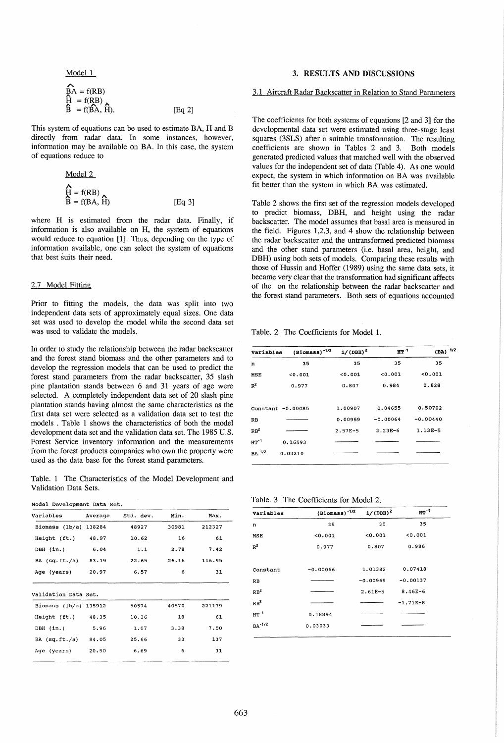Model 1

$$
\widehat{BA} = f(RB)
$$
  
\n
$$
\widehat{H} = f(RB)
$$
  
\n
$$
\widehat{B} = f(\widehat{BA}, \widehat{H}).
$$
  
\n[Eq 2]

This system of equations can be used to estimate BA, H and B directly from radar data. In some instances, however, information may be available on BA. In this case, the system of equations reduce to

| Model 2                    |
|----------------------------|
| $\hat{H} = f(RB)$          |
| $\hat{B} = f(BA, \hat{H})$ |

\n[Eq 3]

where H is estimated from the radar data. Finally, if information is also available on H, the system of equations would reduce to equation [1]. Thus, depending on the type of information available, one can select the system of equations that best suits their need.

## 2.7 Model Fitting

Prior to fitting the models, the data was split into two independent data sets of approximately equal sizes. One data set was used to develop the model while the second data set was used to validate the models.

In order to study the relationship between the radar backscatter and the forest stand biomass and the other parameters and to develop the regression models that can be used to predict the forest stand parameters from the radar backscatter, 35 slash pine plantation stands between 6 and 31 years of age were selected. A completely independent data set of 20 slash pine plantation stands having almost the same characteristics as the first data set were selected as a validation data set to test the models . Table 1 shows the characteristics of both the model development data set and the validation data set. The 1985 U.S. Forest Service inventory information and the measurements from the forest products companies who own the property were used as the data base for the forest stand parameters.

Table. 1 The Characteristics of the Model Development and Validation Data Sets.

| Variables             | Average | Std. dev. | Min.  | Max.   |
|-----------------------|---------|-----------|-------|--------|
| Biomass (1b/a) 138284 |         | 48927     | 30981 | 212327 |
| Height (ft.)          | 48.97   | 10.62     | 16    | 61     |
| DBH (in.)             | 6.04    | 1.1       | 2.78  | 7.42   |
| BA $(sq.ft./a)$       | 83.19   | 22.65     | 26.16 | 116.95 |
| Age (years)           | 20.97   | 6.57      | 6     | 31     |

| Validation Data Set.    |       |       |       |        |  |  |
|-------------------------|-------|-------|-------|--------|--|--|
| Biomass $(lb/a)$ 135912 |       | 50574 | 40570 | 221179 |  |  |
| Height (ft.)            | 48.35 | 10.36 | 18    | 61     |  |  |
| DBH (in.)               | 5.96  | 1.07  | 3.38  | 7.50   |  |  |
| BA (sq.fit./a)          | 84.05 | 25.66 | 33    | 137    |  |  |
| Age (years)             | 20.50 | 6.69  | 6     | 31     |  |  |
|                         |       |       |       |        |  |  |

# 3. RESULTS AND DISCUSSIONS

## 3.1 Aircraft Radar Backscatter in Relation to Stand Parameters

The coefficients for both systems of equations [2 and 3] for the developmental data set were estimated using three-stage least squares (3SLS) after a suitable transformation. The resulting coefficients are shown in Tables 2 and 3. Both models generated predicted values that matched well with the observed values for the independent set of data (Table 4). As one would expect, the system in which information on BA was available fit better than the system in which BA was estimated.

Table 2 shows the first set of the regression models developed to predict biomass, DBH, and height using the radar backscatter. The model assumes that basal area is measured in the field. Figures 1,2,3, and 4 show the relationship between the radar backscatter and the untransformed predicted biomass and the other stand parameters (i.e. basal area, height, and DBH) using both sets of models. Comparing these results with those of Hussin and Hoffer (1989) using the same data sets, it became very clear that the transformation had significant affects of the on the relationship between the radar backscatter and the forest stand parameters. Both sets of equations accounted

Table. 2 The Coefficients for Model 1.

| Variables       | $(Biomass)^{-1/2}$ | $1/(DBH)^2$ | $HT-1$     | $(BA)^{-1/2}$ |
|-----------------|--------------------|-------------|------------|---------------|
| n               | 35                 | 35          | 35         | 35            |
| MSE             | 0.001              | 0.001       | 0.001      | 0.001         |
| $R^2$           | 0.977              | 0.807       | 0.984      | 0.828         |
|                 | Constant -0.00085  | 1.00907     | 0.04655    | 0.50702       |
| RB              |                    | 0.00959     | $-0.00064$ | $-0.00440$    |
| RB <sup>2</sup> |                    | $2.57E-5$   | $2.23E-6$  | $1.13E-5$     |
| $HT^{-1}$       | 0.16593            |             |            |               |
| $BA^{-1/2}$     | 0.03210            |             |            |               |
|                 |                    |             |            |               |

Table. 3 The Coefficients for Model 2.

| Variables       | $(Bi)$ cnass) <sup>-1/2</sup> | $1/(DBH)^2$ | $HP^{-1}$   |
|-----------------|-------------------------------|-------------|-------------|
| n               | 35                            | 35          | 35          |
| MSE             | 0.001                         | 0.001       | 0.001       |
| $R^2$           | 0.977                         | 0.807       | 0.986       |
|                 |                               |             |             |
| Constant        | $-0.00066$                    | 1.01382     | 0.07418     |
| RB              |                               | $-0.00969$  | $-0.00137$  |
| RB <sup>2</sup> |                               | $2.61E-5$   | $8.46E - 6$ |
| RB <sup>3</sup> |                               |             | $-1.71E-8$  |
| $HT^{-1}$       | 0.18894                       |             |             |
| $BA^{-1/2}$     | 0.03033                       |             |             |
|                 |                               |             |             |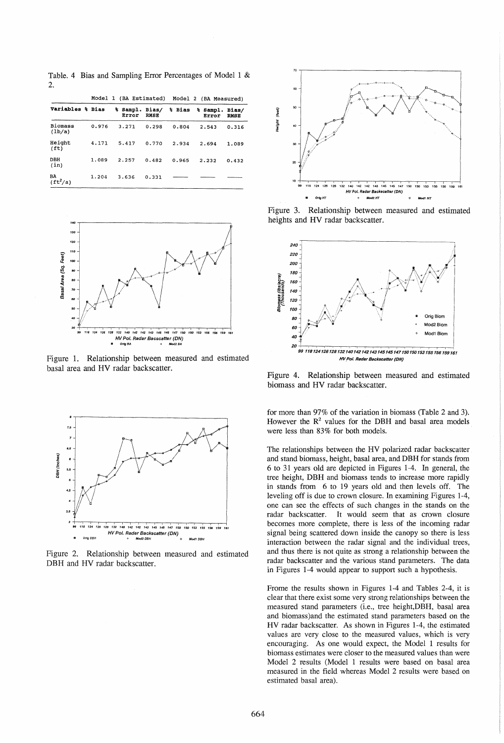Table. 4 Bias and Sampling Error Percentages of Model 1 &  $\mathcal{L}$ 

|                              |       | Model 1 (BA Estimated) |                      |        | Model 2 (BA Measured) |                      |
|------------------------------|-------|------------------------|----------------------|--------|-----------------------|----------------------|
| Variables % Bias             |       | % Sampl.<br>Error      | Bias/<br><b>RMSE</b> | % Bias | % Sampl.<br>Error     | Bias/<br><b>RMSE</b> |
| <b>Biomass</b><br>(lb/a)     | 0.976 | 3.271                  | 0.298                | 0.804  | 2.543                 | 0.316                |
| Height<br>(f <sub>t</sub> )  | 4.171 | 5.417                  | 0.770                | 2.934  | 2.694                 | 1.089                |
| DBH<br>(in)                  | 1.089 | 2.257                  | 0.482                | 0.965  | 2.232                 | 0.432                |
| BA<br>$({\tt ft}^2/{\tt a})$ | 1.204 | 3.636                  | 0.331                |        |                       |                      |



Figure 1. Relationship between measured and estimated basal area and HV radar backscatter.



Figure 2. Relationship between measured and estimated DBH and HV radar backscatter.



Figure 3. Relationship between measured and estimated heights and HV radar backscatter.



Figure 4. Relationship between measured and estimated biomass and HV radar backscatter.

for more than 97% of the variation in biomass (Table 2 and 3). However the  $R<sup>2</sup>$  values for the DBH and basal area models were less than 83% for both models.

The relationships between the HV polarized radar backscatter and stand biomass, height, basal area, and DBH for stands from 6 to 31 years old are depicted in Figures 1-4. In general, the tree height, DBH and biomass tends to increase more rapidly in stands from 6 to 19 years old and then levels off. The leveling off is due to crown closure. In examining Figures 1-4, one can see the effects of such changes in the stands on the radar backscatter. It would seem that as crown closure becomes more complete, there is less of the incoming radar signal being scattered down inside the canopy so there is less interaction between the radar signal and the individual trees, and thus there is not quite as strong a relationship between the radar backscatter and the various stand parameters. The data in Figures 1-4 would appear to support such a hypothesis.

Frome the results shown in Figures 1-4 and Tables 2-4, it is clear that there exist some very strong relationships between the measured stand parameters (i.e., tree height,DBH, basal area and biomass )and the estimated stand parameters based on the HV radar backscatter. As shown in Figures 1-4, the estimated values are very close to the measured values, which is very encouraging. As one would expect, the Model 1 results for biomass estimates were closer to the measured values than were Model 2 results (Model 1 results were based on basal area measured in the field whereas Model 2 results were based on estimated basal area).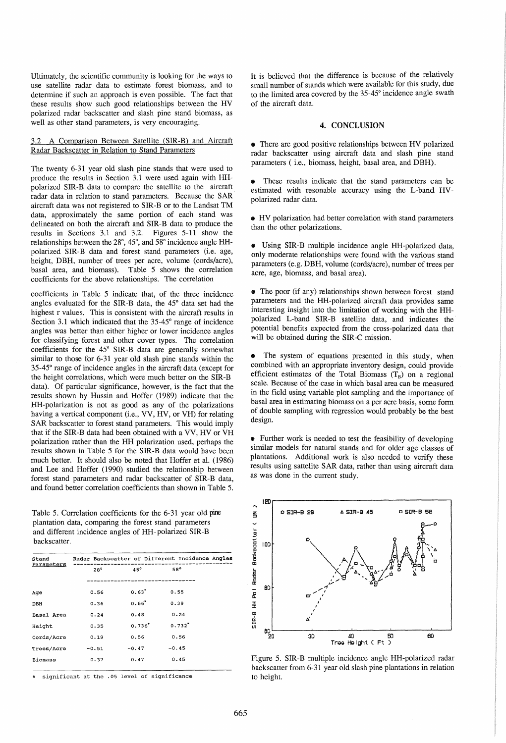Ultimately, the scientific community is looking for the ways to use satellite radar data to estimate forest biomass, and to determine if such an approach is even possible. The fact that these results show such good relationships between the HV polarized radar backscatter and slash pine stand biomass, as well as other stand parameters, is very encouraging.

# 3.2 A Comparison Between Satellite (SIR-B) and Aircraft Radar Backscatter in Relation to Stand Parameters

The twenty 6-31 year old slash pine stands that were used to produce the results in Section 3.1 were used again with HHpolarized SIR -B data to compare the satellite to the aircraft radar data in relation to stand parameters. Because the SAR· aircraft data was not registered to SIR-B or to the Landsat TM data, approximately the same portion of each stand was delineated on both the aircraft and SIR-B data to produce the results in Sections 3.1 and 3.2. Figures 5-11 show the relationships between the 28°,45°, and 58° incidence angle HHpolarized SIR-B data and forest stand parameters (i.e. age, height, DBH, number of trees per acre, volume (cords/acre), basal area, and biomass). Table 5 shows the correlation coefficients for the above relationships. The correlation

coefficients in Table 5 indicate that, of the three incidence angles evaluated for the SIR-B data, the 45° data set had the highest r values. This is consistent with the aircraft results in Section 3.1 which indicated that the 35-45° range of incidence angles was better than either higher or lower incidence angles for classifying forest and other cover types. The correlation coefficients for the 45° SIR-B data are generally somewhat similar to those for 6-31 year old slash pine stands within the 35-45° range of incidence angles in the aircraft data (except for the height correlations, which were much better on the SIR-B data). Of particular significance, however, is the fact that the results shown by Hussin and Hoffer (1989) indicate that the HH-poiarization is not as good as any of the polarizations having a vertical component (i.e., VV, HV, or VH) for relating SAR backscatter to forest stand parameters. This would imply that if the SIR-B data had been obtained with a VV, HV or VH polarization rather than the HH polarization used, perhaps the results shown in Table 5 for the SIR-B data would have been much better. It should also be noted that Hoffer et al. (1986) and Lee and Hoffer (1990) studied the relationship between forest stand parameters and radar backscatter of SIR-B data, and found better correlation coefficients than shown in Table 5.

Table 5. Correlation coefficients for the 6-31 year old pine plantation data, comparing the forest stand parameters and different incidence angles of HH- polarized SIR-B backscatter.

| Stand<br>Parameters | Radar Backscatter of Different Incidence Angles |            |                      |  |
|---------------------|-------------------------------------------------|------------|----------------------|--|
|                     | $28^\circ$                                      | $45^\circ$ | 58°                  |  |
|                     |                                                 |            |                      |  |
| Aqe                 | 0.56                                            | $0.63*$    | 0.55                 |  |
| DBH                 | 0.36                                            | $0.66*$    | 0.39                 |  |
| Basal Area          | 0.24                                            | 0.48       | 0.24                 |  |
| Height              | 0.35                                            | $0.736*$   | $0.732$ <sup>*</sup> |  |
| Cords/Acre          | 0.19                                            | 0.56       | 0.56                 |  |
| Trees/Acre          | $-0.51$                                         | $-0.47$    | $-0.45$              |  |
| <b>Biomass</b>      | 0.37                                            | 0.47       | 0.45                 |  |
|                     |                                                 |            |                      |  |

significant at the .05 level of significance

It is believed that the difference is because of the relatively small number of stands which were available for this study, due to the limited area covered by the 35-45° incidence angle swath of the aircraft data.

### 4. CONCLUSION

• There are good positive relationships between HV polarized radar backscatter using aircraft data and slash pine stand parameters ( i.e., biomass, height, basal area, and DBH).

These results indicate that the stand parameters can be estimated with resonable accuracy using the L-band HVpolarized radar data.

• HV polarization had better correlation with stand parameters than the other polarizations.

• Using SIR-B multiple incidence angle HH-polarized data, only moderate relationships were found with the various stand parameters (e.g. DBH, volume (cords/acre), number of trees per acre, age, biomass, and basal area).

• The poor (if any) relationships shown between forest stand parameters and the HH-polarized aircraft data provides same interesting insight into the limitation of working with the HHpolarized L-band SIR-B satellite data, and indicates the potential benefits expected from the cross-polarized data that will be obtained during the SIR-C mission.

• The system of equations presented in this study, when combined with an appropriate inventory design, could provide efficient estimates of the Total Biomass  $(T_B)$  on a regional scale. Because of the case in which basal area can be measured in the field using variable plot sampling and the importance of basal area in estimating biomass on a per acre basis, some form of double sampling with regression would probably be the best design.

• Further work is needed to test the feasibility of developing similar models for natural stands and for older age classes of plantations. Additional work is also needed to verify these results using sattelite SAR data, rather than using aircraft data as was done in the current study.



Figure 5. SIR-B multiple incidence angle HH-polarized radar backscatter from 6-31 year old slash pine plantations in relation to height.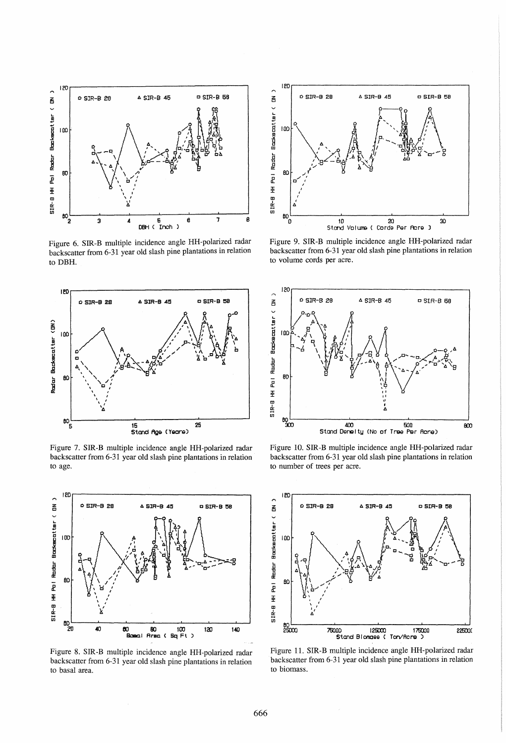

Figure 6. SIR-B multiple incidence angle HH-polarized radar backscatter from 6-31 year old slash pine plantations in relation to DBH.



Figure 7. SIR-B multiple incidence angle HH-polarized radar backscatter from 6-31 year old slash pine plantations in relation to age.



Figure 8. SIR-B multiple incidence angle HH-polarized radar backscatter from 6-31 year old slash pine plantations in relation to basal area.



Figure 9. SIR-B multiple incidence angle HH-polarized radar backscatter from 6-31 year old slash pine plantations in relation to volume cords per acre.



Figure 10. SIR-B multiple incidence angle HH-polarized radar backscatter from 6-31 year old slash pine plantations in relation to number of trees per acre.



Figure 11. SIR-B multiple incidence angle HH-polarized radar backscatter from 6-31 year old slash pine plantations in relation to biomass.